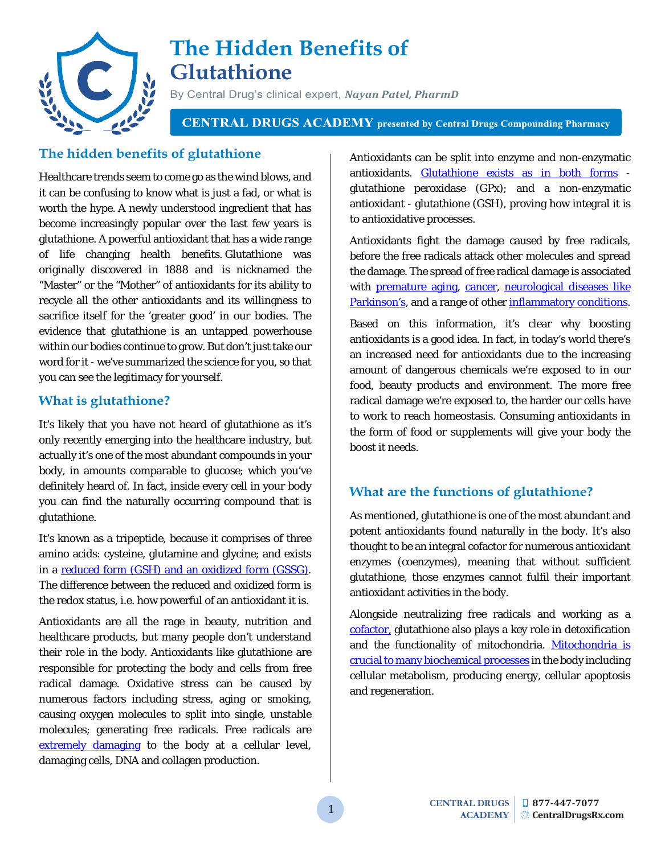

# **The Hidden Benefits of Glutathione**

By Central Drug's clinical expert, *Nayan Patel, PharmD*

**CENTRAL DRUGS ACADEMY** presented by Central Drugs Compounding Pharmacy

## **The hidden benefits of glutathione**

Healthcare trends seem to come go as the wind blows, and it can be confusing to know what is just a fad, or what is worth the hype. A newly understood ingredient that has become increasingly popular over the last few years is glutathione. A powerful antioxidant that has a wide range of life changing health benefits. Glutathione was originally discovered in 1888 and is nicknamed the "Master" or the "Mother" of antioxidants for its ability to recycle all the other antioxidants and its willingness to sacrifice itself for the 'greater good' in our bodies. The evidence that glutathione is an untapped powerhouse within our bodies continue to grow. But don't just take our word for it - we've summarized the science for you, so that you can see the legitimacy for yourself.

### **What is glutathione?**

It's likely that you have not heard of glutathione as it's only recently emerging into the healthcare industry, but actually it's one of the most abundant compounds in your body, in amounts comparable to glucose; which you've definitely heard of. In fact, inside every cell in your body you can find the naturally occurring compound that is glutathione.

It's known as a tripeptide, because it comprises of three amino acids: cysteine, glutamine and glycine; and exists in a [reduced form \(GSH\) and an](https://www.sciencedirect.com/science/article/abs/pii/030439409290355B) oxidized form (GSSG). The difference between the reduced and oxidized form is the redox status, i.e. how powerful of an antioxidant it is.

Antioxidants are all the rage in beauty, nutrition and healthcare products, but many people don't understand their role in the body. Antioxidants like glutathione are responsible for protecting the body and cells from free radical damage. Oxidative stress can be caused by numerous factors including stress, aging or smoking, causing oxygen molecules to split into single, unstable molecules; generating free radicals. Free radicals are [extremely damaging](https://www.fasebj.org/doi/abs/10.1096/fasebj.1.6.3315807) to the body at a cellular level, damaging cells, DNA and collagen production.

Antioxidants can be split into enzyme and non-enzymatic antioxidants. [Glutathione exists as in both forms](https://www.ncbi.nlm.nih.gov/pmc/articles/PMC3161936/) glutathione peroxidase (GPx); and a non-enzymatic antioxidant - glutathione (GSH), proving how integral it is to antioxidative processes.

Antioxidants fight the damage caused by free radicals, before the free radicals attack other molecules and spread the damage. The spread of free radical damage is associated with [premature aging,](https://www.sciencedirect.com/science/article/pii/S0531556599000054) [cancer,](https://link.springer.com/article/10.1023/B:MCBI.0000049134.69131.89) [neurological diseases like](https://onlinelibrary.wiley.com/doi/abs/10.1002/ana.410320703)  [Parkinson's,](https://onlinelibrary.wiley.com/doi/abs/10.1002/ana.410320703) and a range of othe[r inflammatory conditions.](https://academic.oup.com/bmb/article-abstract/49/3/506/299913)

Based on this information, it's clear why boosting antioxidants is a good idea. In fact, in today's world there's an increased need for antioxidants due to the increasing amount of dangerous chemicals we're exposed to in our food, beauty products and environment. The more free radical damage we're exposed to, the harder our cells have to work to reach homeostasis. Consuming antioxidants in the form of food or supplements will give your body the boost it needs.

# **What are the functions of glutathione?**

As mentioned, glutathione is one of the most abundant and potent antioxidants found naturally in the body. It's also thought to be an integral cofactor for numerous antioxidant enzymes (coenzymes), meaning that without sufficient glutathione, those enzymes cannot fulfil their important antioxidant activities in the body.

Alongside neutralizing free radicals and working as a [cofactor,](https://www.sciencedirect.com/science/article/pii/S089158499700227X) glutathione also plays a key role in detoxification and the functionality of mitochondria. [Mitochondria is](https://www.annualreviews.org/doi/abs/10.1146/annurev-genet-102108-134850)  [crucial to many biochemical processes](https://www.annualreviews.org/doi/abs/10.1146/annurev-genet-102108-134850) in the body including cellular metabolism, producing energy, cellular apoptosis and regeneration.